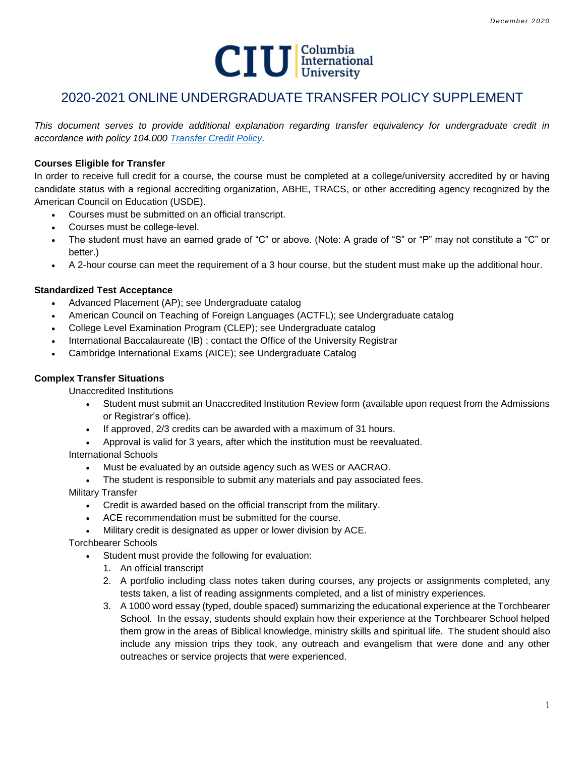

# 2020-2021 ONLINE UNDERGRADUATE TRANSFER POLICY SUPPLEMENT

*This document serves to provide additional explanation regarding transfer equivalency for undergraduate credit in accordance with policy 104.000 [Transfer Credit Policy.](http://www.ciu.edu/sites/default/files/Policies/104%20000%20Transfer%20Credit%20Policy.pdf)*

## **Courses Eligible for Transfer**

In order to receive full credit for a course, the course must be completed at a college/university accredited by or having candidate status with a regional accrediting organization, ABHE, TRACS, or other accrediting agency recognized by the American Council on Education (USDE).

- Courses must be submitted on an official transcript.
- Courses must be college-level.
- The student must have an earned grade of "C" or above. (Note: A grade of "S" or "P" may not constitute a "C" or better.)
- A 2-hour course can meet the requirement of a 3 hour course, but the student must make up the additional hour.

# **Standardized Test Acceptance**

- Advanced Placement (AP); see Undergraduate catalog
- American Council on Teaching of Foreign Languages (ACTFL); see Undergraduate catalog
- College Level Examination Program (CLEP); see Undergraduate catalog
- International Baccalaureate (IB) ; contact the Office of the University Registrar
- Cambridge International Exams (AICE); see Undergraduate Catalog

## **Complex Transfer Situations**

Unaccredited Institutions

- Student must submit an Unaccredited Institution Review form (available upon request from the Admissions or Registrar's office).
- If approved, 2/3 credits can be awarded with a maximum of 31 hours.
- Approval is valid for 3 years, after which the institution must be reevaluated.

International Schools

- Must be evaluated by an outside agency such as WES or AACRAO.
- The student is responsible to submit any materials and pay associated fees.
- Military Transfer
	- Credit is awarded based on the official transcript from the military.
	- ACE recommendation must be submitted for the course.
	- Military credit is designated as upper or lower division by ACE.

Torchbearer Schools

- Student must provide the following for evaluation:
	- 1. An official transcript
	- 2. A portfolio including class notes taken during courses, any projects or assignments completed, any tests taken, a list of reading assignments completed, and a list of ministry experiences.
	- 3. A 1000 word essay (typed, double spaced) summarizing the educational experience at the Torchbearer School. In the essay, students should explain how their experience at the Torchbearer School helped them grow in the areas of Biblical knowledge, ministry skills and spiritual life. The student should also include any mission trips they took, any outreach and evangelism that were done and any other outreaches or service projects that were experienced.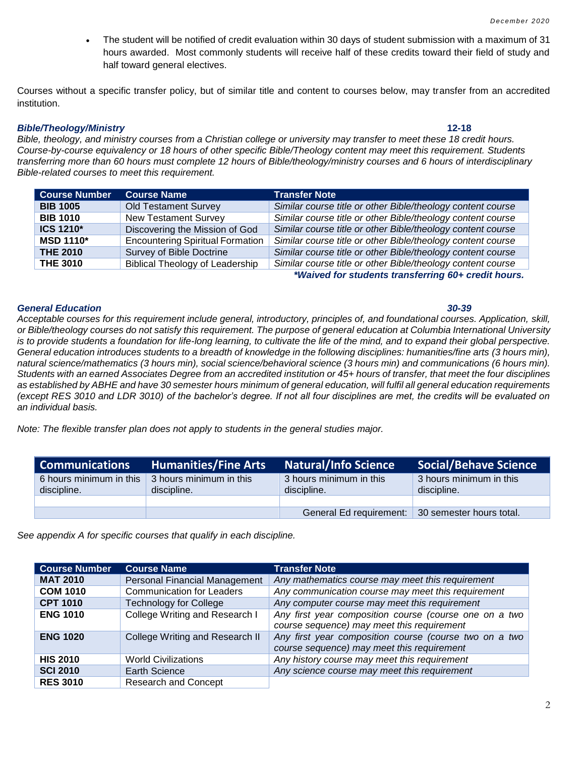The student will be notified of credit evaluation within 30 days of student submission with a maximum of 31 hours awarded. Most commonly students will receive half of these credits toward their field of study and half toward general electives.

Courses without a specific transfer policy, but of similar title and content to courses below, may transfer from an accredited institution.

### *Bible/Theology/Ministry* **12-18**

*Bible, theology, and ministry courses from a Christian college or university may transfer to meet these 18 credit hours. Course-by-course equivalency or 18 hours of other specific Bible/Theology content may meet this requirement. Students transferring more than 60 hours must complete 12 hours of Bible/theology/ministry courses and 6 hours of interdisciplinary Bible-related courses to meet this requirement.* 

| <b>Course Number</b> | <b>Course Name</b>                      | <b>Transfer Note</b>                                        |
|----------------------|-----------------------------------------|-------------------------------------------------------------|
| <b>BIB 1005</b>      | <b>Old Testament Survey</b>             | Similar course title or other Bible/theology content course |
| <b>BIB 1010</b>      | <b>New Testament Survey</b>             | Similar course title or other Bible/theology content course |
| <b>ICS 1210*</b>     | Discovering the Mission of God          | Similar course title or other Bible/theology content course |
| <b>MSD 1110*</b>     | <b>Encountering Spiritual Formation</b> | Similar course title or other Bible/theology content course |
| <b>THE 2010</b>      | <b>Survey of Bible Doctrine</b>         | Similar course title or other Bible/theology content course |
| <b>THE 3010</b>      | <b>Biblical Theology of Leadership</b>  | Similar course title or other Bible/theology content course |

*\*Waived for students transferring 60+ credit hours.*

### *General Education 30-39*

*Acceptable courses for this requirement include general, introductory, principles of, and foundational courses. Application, skill, or Bible/theology courses do not satisfy this requirement. The purpose of general education at Columbia International University*  is to provide students a foundation for life-long learning, to cultivate the life of the mind, and to expand their global perspective. *General education introduces students to a breadth of knowledge in the following disciplines: humanities/fine arts (3 hours min), natural science/mathematics (3 hours min), social science/behavioral science (3 hours min) and communications (6 hours min). Students with an earned Associates Degree from an accredited institution or 45+ hours of transfer, that meet the four disciplines as established by ABHE and have 30 semester hours minimum of general education, will fulfil all general education requirements (except RES 3010 and LDR 3010) of the bachelor's degree. If not all four disciplines are met, the credits will be evaluated on an individual basis.* 

*Note: The flexible transfer plan does not apply to students in the general studies major.*

| <b>Communications</b>                  | <b>Humanities/Fine Arts</b>            | <b>Natural/Info Science</b>                      | <b>Social/Behave Science</b>           |
|----------------------------------------|----------------------------------------|--------------------------------------------------|----------------------------------------|
| 6 hours minimum in this<br>discipline. | 3 hours minimum in this<br>discipline. | 3 hours minimum in this<br>discipline.           | 3 hours minimum in this<br>discipline. |
|                                        |                                        |                                                  |                                        |
|                                        |                                        | General Ed requirement: 30 semester hours total. |                                        |

*See appendix A for specific courses that qualify in each discipline.*

| <b>Course Number</b> | <b>Course Name</b>                   | <b>Transfer Note</b>                                                                                 |
|----------------------|--------------------------------------|------------------------------------------------------------------------------------------------------|
| <b>MAT 2010</b>      | <b>Personal Financial Management</b> | Any mathematics course may meet this requirement                                                     |
| <b>COM 1010</b>      | <b>Communication for Leaders</b>     | Any communication course may meet this requirement                                                   |
| <b>CPT 1010</b>      | <b>Technology for College</b>        | Any computer course may meet this requirement                                                        |
| <b>ENG 1010</b>      | College Writing and Research I       | Any first year composition course (course one on a two<br>course sequence) may meet this requirement |
| <b>ENG 1020</b>      | College Writing and Research II      | Any first year composition course (course two on a two<br>course sequence) may meet this requirement |
| <b>HIS 2010</b>      | <b>World Civilizations</b>           | Any history course may meet this requirement                                                         |
| <b>SCI 2010</b>      | Earth Science                        | Any science course may meet this requirement                                                         |
| <b>RES 3010</b>      | <b>Research and Concept</b>          |                                                                                                      |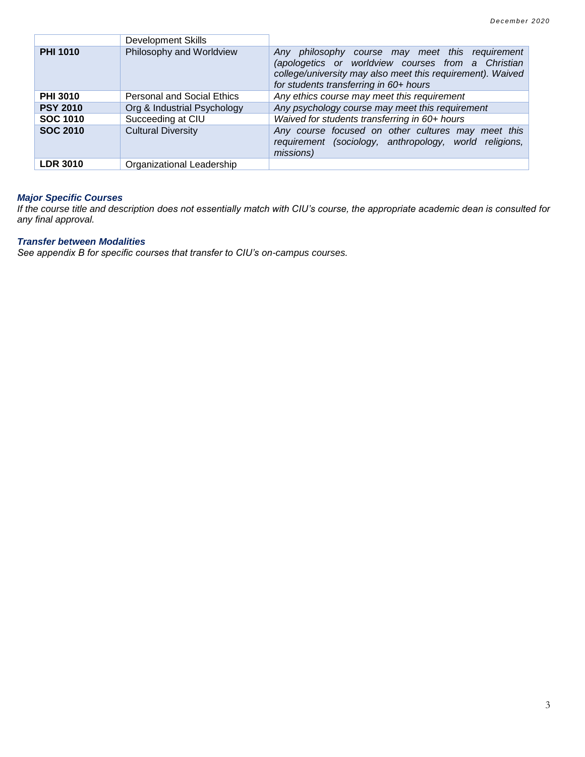|                 | <b>Development Skills</b>         |                                                                                                                                                                                                               |
|-----------------|-----------------------------------|---------------------------------------------------------------------------------------------------------------------------------------------------------------------------------------------------------------|
| <b>PHI 1010</b> | Philosophy and Worldview          | Any philosophy course may meet this requirement<br>(apologetics or worldview courses from a Christian<br>college/university may also meet this requirement). Waived<br>for students transferring in 60+ hours |
| <b>PHI 3010</b> | <b>Personal and Social Ethics</b> | Any ethics course may meet this requirement                                                                                                                                                                   |
| <b>PSY 2010</b> | Org & Industrial Psychology       | Any psychology course may meet this requirement                                                                                                                                                               |
| <b>SOC 1010</b> | Succeeding at CIU                 | Waived for students transferring in 60+ hours                                                                                                                                                                 |
| <b>SOC 2010</b> | <b>Cultural Diversity</b>         | Any course focused on other cultures may meet this<br>requirement (sociology, anthropology, world religions,<br>missions)                                                                                     |
| <b>LDR 3010</b> | Organizational Leadership         |                                                                                                                                                                                                               |

## *Major Specific Courses*

*If the course title and description does not essentially match with CIU's course, the appropriate academic dean is consulted for any final approval.*

# *Transfer between Modalities*

*See appendix B for specific courses that transfer to CIU's on-campus courses.*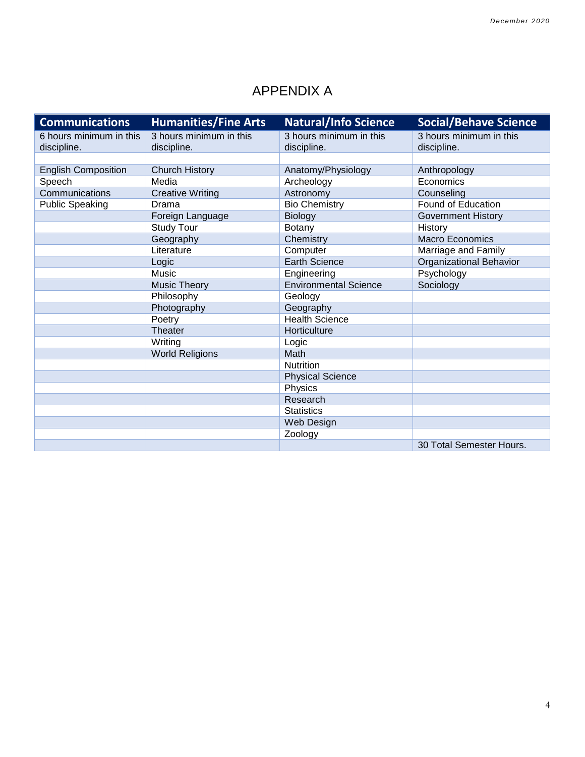# APPENDIX A

| <b>Communications</b>      | <b>Humanities/Fine Arts</b> | <b>Natural/Info Science</b>  | <b>Social/Behave Science</b>   |
|----------------------------|-----------------------------|------------------------------|--------------------------------|
| 6 hours minimum in this    | 3 hours minimum in this     | 3 hours minimum in this      | 3 hours minimum in this        |
| discipline.                | discipline.                 | discipline.                  | discipline.                    |
|                            |                             |                              |                                |
| <b>English Composition</b> | <b>Church History</b>       | Anatomy/Physiology           | Anthropology                   |
| Speech                     | Media                       | Archeology                   | Economics                      |
| Communications             | <b>Creative Writing</b>     | Astronomy                    | Counseling                     |
| <b>Public Speaking</b>     | Drama                       | <b>Bio Chemistry</b>         | Found of Education             |
|                            | Foreign Language            | Biology                      | <b>Government History</b>      |
|                            | <b>Study Tour</b>           | <b>Botany</b>                | History                        |
|                            | Geography                   | Chemistry                    | Macro Economics                |
|                            | Literature                  | Computer                     | Marriage and Family            |
|                            | Logic                       | <b>Earth Science</b>         | <b>Organizational Behavior</b> |
|                            | Music                       | Engineering                  | Psychology                     |
|                            | <b>Music Theory</b>         | <b>Environmental Science</b> | Sociology                      |
|                            | Philosophy                  | Geology                      |                                |
|                            | Photography                 | Geography                    |                                |
|                            | Poetry                      | <b>Health Science</b>        |                                |
|                            | Theater                     | Horticulture                 |                                |
|                            | Writing                     | Logic                        |                                |
|                            | <b>World Religions</b>      | Math                         |                                |
|                            |                             | <b>Nutrition</b>             |                                |
|                            |                             | <b>Physical Science</b>      |                                |
|                            |                             | Physics                      |                                |
|                            |                             | Research                     |                                |
|                            |                             | <b>Statistics</b>            |                                |
|                            |                             | Web Design                   |                                |
|                            |                             | Zoology                      |                                |
|                            |                             |                              | 30 Total Semester Hours.       |